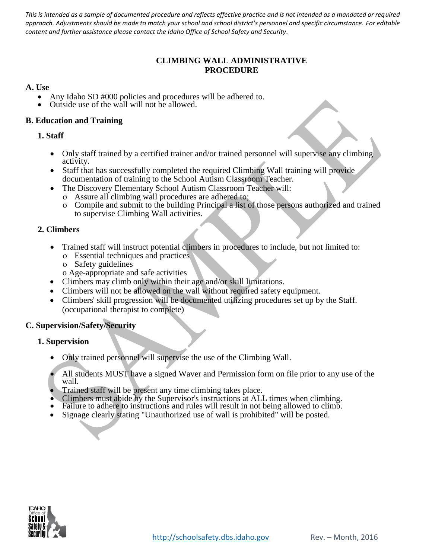*This is intended as a sample of documented procedure and reflects effective practice and is not intended as a mandated or required approach. Adjustments should be made to match your school and school district's personnel and specific circumstance. For editable content and further assistance please contact the Idaho Office of School Safety and Security.*

# **CLIMBING WALL ADMINISTRATIVE PROCEDURE**

## **A. Use**

- Any Idaho SD #000 policies and procedures will be adhered to.
- Outside use of the wall will not be allowed.

## **B. Education and Training**

#### **1. Staff**

- Only staff trained by a certified trainer and/or trained personnel will supervise any climbing activity.
- Staff that has successfully completed the required Climbing Wall training will provide documentation of training to the School Autism Classroom Teacher.
- The Discovery Elementary School Autism Classroom Teacher will:
	- Assure all climbing wall procedures are adhered to;
	- Compile and submit to the building Principal a list of those persons authorized and trained to supervise Climbing Wall activities.

#### **2. Climbers**

- Trained staff will instruct potential climbers in procedures to include, but not limited to:
	- Essential techniques and practices
	- Safety guidelines
	- o Age-appropriate and safe activities
- Climbers may climb only within their age and/or skill limitations.
- Climbers will not be allowed on the wall without required safety equipment.
- Climbers' skill progression will be documented utilizing procedures set up by the Staff. (occupational therapist to complete)

## **C. Supervision/Safety/Security**

## **1. Supervision**

- Only trained personnel will supervise the use of the Climbing Wall.
- All students MUST have a signed Waver and Permission form on file prior to any use of the wall.
- Trained staff will be present any time climbing takes place.
- Climbers must abide by the Supervisor's instructions at ALL times when climbing.
- Failure to adhere to instructions and rules will result in not being allowed to climb.
- Signage clearly stating "Unauthorized use of wall is prohibited" will be posted.